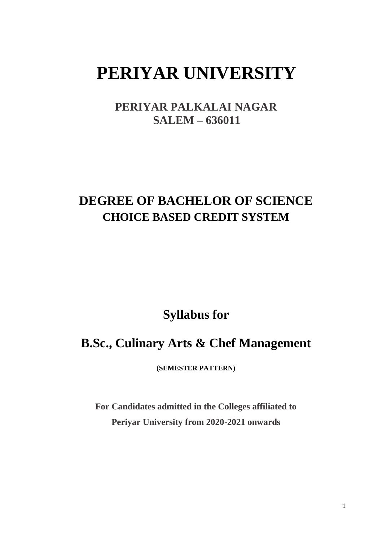# **PERIYAR UNIVERSITY**

**PERIYAR PALKALAI NAGAR SALEM – 636011**

# **DEGREE OF BACHELOR OF SCIENCE CHOICE BASED CREDIT SYSTEM**

**Syllabus for** 

# **B.Sc., Culinary Arts & Chef Management**

**(SEMESTER PATTERN)**

**For Candidates admitted in the Colleges affiliated to Periyar University from 2020-2021 onwards**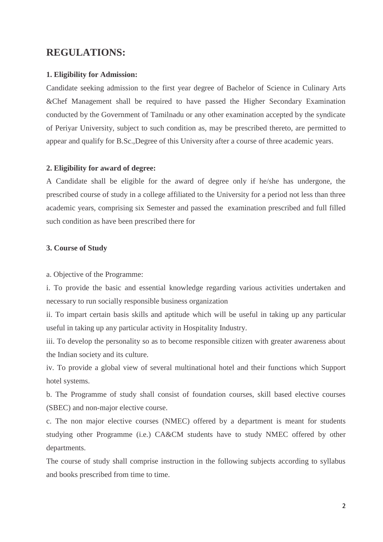## **REGULATIONS:**

#### **1. Eligibility for Admission:**

Candidate seeking admission to the first year degree of Bachelor of Science in Culinary Arts &Chef Management shall be required to have passed the Higher Secondary Examination conducted by the Government of Tamilnadu or any other examination accepted by the syndicate of Periyar University, subject to such condition as, may be prescribed thereto, are permitted to appear and qualify for B.Sc.,Degree of this University after a course of three academic years.

#### **2. Eligibility for award of degree:**

A Candidate shall be eligible for the award of degree only if he/she has undergone, the prescribed course of study in a college affiliated to the University for a period not less than three academic years, comprising six Semester and passed the examination prescribed and full filled such condition as have been prescribed there for

#### **3. Course of Study**

a. Objective of the Programme:

i. To provide the basic and essential knowledge regarding various activities undertaken and necessary to run socially responsible business organization

ii. To impart certain basis skills and aptitude which will be useful in taking up any particular useful in taking up any particular activity in Hospitality Industry.

iii. To develop the personality so as to become responsible citizen with greater awareness about the Indian society and its culture.

iv. To provide a global view of several multinational hotel and their functions which Support hotel systems.

b. The Programme of study shall consist of foundation courses, skill based elective courses (SBEC) and non-major elective course.

c. The non major elective courses (NMEC) offered by a department is meant for students studying other Programme (i.e.) CA&CM students have to study NMEC offered by other departments.

The course of study shall comprise instruction in the following subjects according to syllabus and books prescribed from time to time.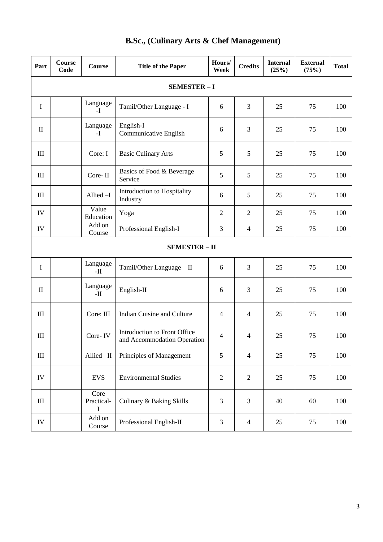| Part           | Course<br>Code       | <b>Course</b>                  | <b>Title of the Paper</b>                                   | Hours/<br>Week | <b>Credits</b> | <b>Internal</b><br>(25%) | <b>External</b><br>(75%) | <b>Total</b> |
|----------------|----------------------|--------------------------------|-------------------------------------------------------------|----------------|----------------|--------------------------|--------------------------|--------------|
|                | <b>SEMESTER-I</b>    |                                |                                                             |                |                |                          |                          |              |
| $\mathbf I$    |                      | Language<br>$\mathbf{I}$       | Tamil/Other Language - I                                    | 6              | 3              | 25                       | 75                       | 100          |
| $\mathbf{I}$   |                      | Language<br>$-I$               | English-I<br>Communicative English                          | 6              | 3              | 25                       | 75                       | 100          |
| III            |                      | Core: I                        | <b>Basic Culinary Arts</b>                                  | 5              | 5              | 25                       | 75                       | 100          |
| III            |                      | Core-II                        | Basics of Food & Beverage<br>Service                        | 5              | 5              | 25                       | 75                       | 100          |
| III            |                      | Allied-I                       | Introduction to Hospitality<br>Industry                     | 6              | 5              | 25                       | 75                       | 100          |
| IV             |                      | Value<br>Education             | Yoga                                                        | $\overline{2}$ | $\overline{2}$ | 25                       | 75                       | 100          |
| IV             |                      | Add on<br>Course               | Professional English-I                                      | 3              | $\overline{4}$ | 25                       | 75                       | 100          |
|                | <b>SEMESTER - II</b> |                                |                                                             |                |                |                          |                          |              |
| I              |                      | Language<br>$-II$              | Tamil/Other Language - II                                   | 6              | 3              | 25                       | 75                       | 100          |
| $\mathbf{I}$   |                      | Language<br>$-II$              | English-II                                                  | 6              | 3              | 25                       | 75                       | 100          |
| III            |                      | Core: III                      | Indian Cuisine and Culture                                  | 4              | $\overline{4}$ | 25                       | 75                       | 100          |
| III            |                      | Core-IV                        | Introduction to Front Office<br>and Accommodation Operation | 4              | $\overline{4}$ | 25                       | 75                       | 100          |
| $\rm III$      |                      | Allied-II                      | Principles of Management                                    | 5              | $\overline{4}$ | 25                       | 75                       | 100          |
| IV             |                      | <b>EVS</b>                     | <b>Environmental Studies</b>                                | $\mathbf{2}$   | $\overline{2}$ | 25                       | 75                       | 100          |
| $\mathbf{III}$ |                      | Core<br>Practical-<br>$\bf{I}$ | Culinary & Baking Skills                                    | 3              | 3              | 40                       | 60                       | 100          |
| IV             |                      | Add on<br>Course               | Professional English-II                                     | 3              | $\overline{4}$ | 25                       | 75                       | 100          |

## **B.Sc., (Culinary Arts & Chef Management)**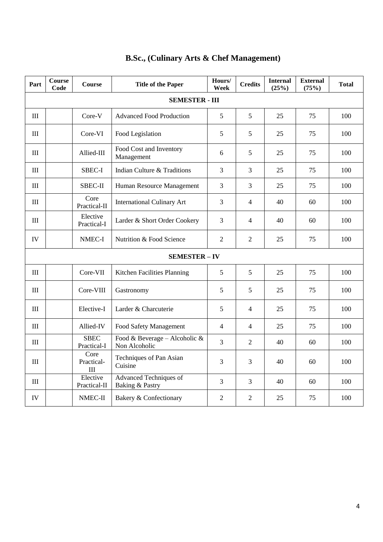| Part                             | <b>Course</b><br>Code | Course                     | <b>Title of the Paper</b>                        | Hours/<br>Week | <b>Credits</b> | <b>Internal</b><br>(25%) | <b>External</b><br>(75%) | <b>Total</b> |
|----------------------------------|-----------------------|----------------------------|--------------------------------------------------|----------------|----------------|--------------------------|--------------------------|--------------|
|                                  | <b>SEMESTER - III</b> |                            |                                                  |                |                |                          |                          |              |
| $\rm III$                        |                       | Core-V                     | <b>Advanced Food Production</b>                  | 5              | 5              | 25                       | 75                       | 100          |
| Ш                                |                       | Core-VI                    | Food Legislation                                 | 5              | 5              | 25                       | 75                       | 100          |
| $\rm III$                        |                       | Allied-III                 | Food Cost and Inventory<br>Management            | 6              | 5              | 25                       | 75                       | 100          |
| $\mathop{\rm III}\nolimits$      |                       | SBEC-I                     | Indian Culture & Traditions                      | 3              | 3              | 25                       | 75                       | 100          |
| III                              |                       | SBEC-II                    | Human Resource Management                        | 3              | $\overline{3}$ | 25                       | 75                       | 100          |
| III                              |                       | Core<br>Practical-II       | <b>International Culinary Art</b>                | 3              | $\overline{4}$ | 40                       | 60                       | 100          |
| III                              |                       | Elective<br>Practical-I    | Larder & Short Order Cookery                     | 3              | $\overline{4}$ | 40                       | 60                       | 100          |
| IV                               |                       | NMEC-I                     | Nutrition & Food Science                         | $\overline{2}$ | $\overline{2}$ | 25                       | 75                       | 100          |
| <b>SEMESTER-IV</b>               |                       |                            |                                                  |                |                |                          |                          |              |
| III                              |                       | Core-VII                   | Kitchen Facilities Planning                      | 5              | 5              | 25                       | 75                       | 100          |
| III                              |                       | Core-VIII                  | Gastronomy                                       | 5              | 5              | 25                       | 75                       | 100          |
| III                              |                       | Elective-I                 | Larder & Charcuterie                             | 5              | $\overline{4}$ | 25                       | 75                       | 100          |
| $\rm III$                        |                       | Allied-IV                  | Food Safety Management                           | $\overline{4}$ | $\overline{4}$ | 25                       | 75                       | 100          |
| III                              |                       | <b>SBEC</b><br>Practical-I | Food & Beverage - Alcoholic &<br>Non Alcoholic   | $\overline{3}$ | $\overline{2}$ | 40                       | 60                       | 100          |
| $\mathop{\mathrm{III}}\nolimits$ |                       | Core<br>Practical-<br>III  | Techniques of Pan Asian<br>Cuisine               | 3              | 3              | 40                       | 60                       | 100          |
| III                              |                       | Elective<br>Practical-II   | <b>Advanced Techniques of</b><br>Baking & Pastry | 3              | $\overline{3}$ | 40                       | 60                       | 100          |
| <b>IV</b>                        |                       | NMEC-II                    | Bakery & Confectionary                           | $\overline{2}$ | $\overline{2}$ | 25                       | 75                       | 100          |

## **B.Sc., (Culinary Arts & Chef Management)**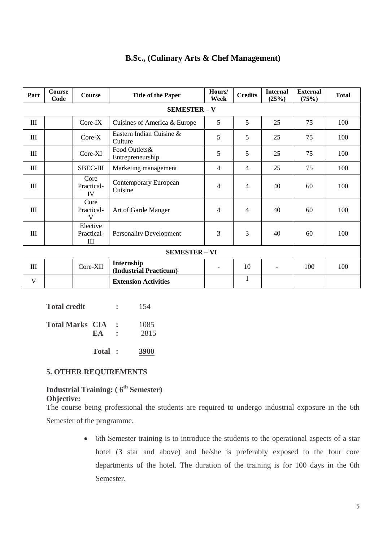| Part                 | Course<br>Code      | <b>Course</b>                   | <b>Title of the Paper</b>            | Hours/<br>Week           | <b>Credits</b> | <b>Internal</b><br>(25%) | <b>External</b><br>(75%) | <b>Total</b> |
|----------------------|---------------------|---------------------------------|--------------------------------------|--------------------------|----------------|--------------------------|--------------------------|--------------|
|                      | <b>SEMESTER - V</b> |                                 |                                      |                          |                |                          |                          |              |
| III                  |                     | $Core-IX$                       | Cuisines of America & Europe         | 5                        | 5              | 25                       | 75                       | 100          |
| Ш                    |                     | $Core-X$                        | Eastern Indian Cuisine &<br>Culture  | 5                        | 5              | 25                       | 75                       | 100          |
| III                  |                     | $Core-XI$                       | Food Outlets&<br>Entrepreneurship    | 5                        | 5              | 25                       | 75                       | 100          |
| III                  |                     | <b>SBEC-III</b>                 | Marketing management                 | 4                        | $\overline{4}$ | 25                       | 75                       | 100          |
| III                  |                     | Core<br>Practical-<br><b>IV</b> | Contemporary European<br>Cuisine     | $\overline{4}$           | $\overline{4}$ | 40                       | 60                       | 100          |
| III                  |                     | Core<br>Practical-<br>V         | Art of Garde Manger                  | $\overline{4}$           | $\overline{4}$ | 40                       | 60                       | 100          |
| Ш                    |                     | Elective<br>Practical-<br>Ш     | <b>Personality Development</b>       | 3                        | 3              | 40                       | 60                       | 100          |
| <b>SEMESTER - VI</b> |                     |                                 |                                      |                          |                |                          |                          |              |
| III                  |                     | Core-XII                        | Internship<br>(Industrial Practicum) | $\overline{\phantom{0}}$ | 10             |                          | 100                      | 100          |
| V                    |                     |                                 | <b>Extension Activities</b>          |                          | $\mathbf{1}$   |                          |                          |              |

## **B.Sc., (Culinary Arts & Chef Management)**

|                        | Total: | 3900         |
|------------------------|--------|--------------|
| <b>Total Marks CIA</b> | EA     | 1085<br>2815 |
| <b>Total credit</b>    |        | 154          |

## **5. OTHER REQUIREMENTS**

## **Industrial Training: ( 6th Semester) Objective:**

The course being professional the students are required to undergo industrial exposure in the 6th Semester of the programme.

> • 6th Semester training is to introduce the students to the operational aspects of a star hotel (3 star and above) and he/she is preferably exposed to the four core departments of the hotel. The duration of the training is for 100 days in the 6th Semester.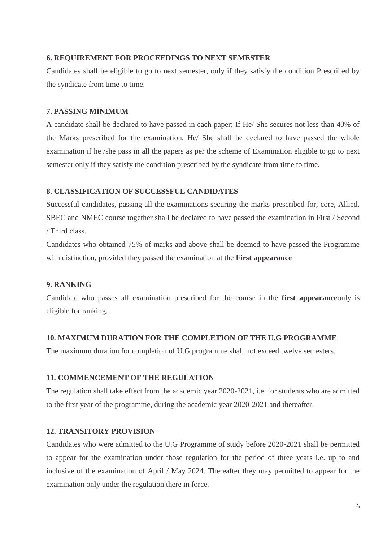### **6. REQUIREMENT FOR PROCEEDINGS TO NEXT SEMESTER**

Candidates shall be eligible to go to next semester, only if they satisfy the condition Prescribed by the syndicate from time to time.

## **7. PASSING MINIMUM**

A candidate shall be declared to have passed in each paper; If He/ She secures not less than 40% of the Marks prescribed for the examination. He/ She shall be declared to have passed the whole examination if he /she pass in all the papers as per the scheme of Examination eligible to go to next semester only if they satisfy the condition prescribed by the syndicate from time to time.

## **8. CLASSIFICATION OF SUCCESSFUL CANDIDATES**

Successful candidates, passing all the examinations securing the marks prescribed for, core, Allied, SBEC and NMEC course together shall be declared to have passed the examination in First / Second / Third class.

Candidates who obtained 75% of marks and above shall be deemed to have passed the Programme with distinction, provided they passed the examination at the **First appearance**

## **9. RANKING**

Candidate who passes all examination prescribed for the course in the **first appearance**only is eligible for ranking.

## **10. MAXIMUM DURATION FOR THE COMPLETION OF THE U.G PROGRAMME**

The maximum duration for completion of U.G programme shall not exceed twelve semesters.

## **11. COMMENCEMENT OF THE REGULATION**

The regulation shall take effect from the academic year 2020-2021, i.e. for students who are admitted to the first year of the programme, during the academic year 2020-2021 and thereafter.

## **12. TRANSITORY PROVISION**

Candidates who were admitted to the U.G Programme of study before 2020-2021 shall be permitted to appear for the examination under those regulation for the period of three years i.e. up to and inclusive of the examination of April / May 2024. Thereafter they may permitted to appear for the examination only under the regulation there in force.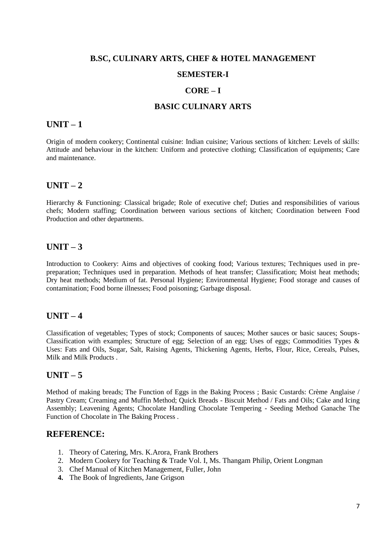## **B.SC, CULINARY ARTS, CHEF & HOTEL MANAGEMENT SEMESTER-I**

## **CORE – I**

#### **BASIC CULINARY ARTS**

## **UNIT – 1**

Origin of modern cookery; Continental cuisine: Indian cuisine; Various sections of kitchen: Levels of skills: Attitude and behaviour in the kitchen: Uniform and protective clothing; Classification of equipments; Care and maintenance.

## **UNIT – 2**

Hierarchy & Functioning: Classical brigade; Role of executive chef; Duties and responsibilities of various chefs; Modern staffing; Coordination between various sections of kitchen; Coordination between Food Production and other departments.

## $UNIT - 3$

Introduction to Cookery: Aims and objectives of cooking food; Various textures; Techniques used in prepreparation; Techniques used in preparation. Methods of heat transfer; Classification; Moist heat methods; Dry heat methods; Medium of fat. Personal Hygiene; Environmental Hygiene; Food storage and causes of contamination; Food borne illnesses; Food poisoning; Garbage disposal.

## $\textbf{UNIT} - 4$

Classification of vegetables; Types of stock; Components of sauces; Mother sauces or basic sauces; Soups-Classification with examples; Structure of egg; Selection of an egg; Uses of eggs; Commodities Types & Uses: Fats and Oils, Sugar, Salt, Raising Agents, Thickening Agents, Herbs, Flour, Rice, Cereals, Pulses, Milk and Milk Products .

## **UNIT – 5**

Method of making breads; The Function of Eggs in the Baking Process ; Basic Custards: Crème Anglaise / Pastry Cream; Creaming and Muffin Method; Quick Breads - Biscuit Method / Fats and Oils; Cake and Icing Assembly; Leavening Agents; Chocolate Handling Chocolate Tempering - Seeding Method Ganache The Function of Chocolate in The Baking Process .

## **REFERENCE:**

- 1. Theory of Catering, Mrs. K.Arora, Frank Brothers
- 2. Modern Cookery for Teaching & Trade Vol. I, Ms. Thangam Philip, Orient Longman
- 3. Chef Manual of Kitchen Management, Fuller, John
- **4.** The Book of Ingredients, Jane Grigson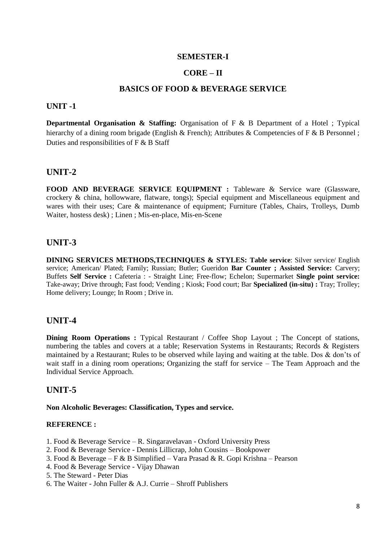## **CORE – II**

## **BASICS OF FOOD & BEVERAGE SERVICE**

#### **UNIT -1**

**Departmental Organisation & Staffing:** Organisation of F & B Department of a Hotel ; Typical hierarchy of a dining room brigade (English & French); Attributes & Competencies of F & B Personnel ; Duties and responsibilities of F & B Staff

## **UNIT-2**

**FOOD AND BEVERAGE SERVICE EQUIPMENT :** Tableware & Service ware (Glassware, crockery & china, hollowware, flatware, tongs); Special equipment and Miscellaneous equipment and wares with their uses; Care & maintenance of equipment; Furniture (Tables, Chairs, Trolleys, Dumb Waiter, hostess desk) ; Linen ; Mis-en-place, Mis-en-Scene

## **UNIT-3**

**DINING SERVICES METHODS,TECHNIQUES & STYLES: Table service**: Silver service/ English service; American/ Plated; Family; Russian; Butler; Gueridon **Bar Counter ; Assisted Service:** Carvery; Buffets **Self Service :** Cafeteria : - Straight Line; Free-flow; Echelon; Supermarket **Single point service:**  Take-away; Drive through; Fast food; Vending ; Kiosk; Food court; Bar **Specialized (in-situ) :** Tray; Trolley; Home delivery; Lounge; In Room ; Drive in.

## **UNIT-4**

**Dining Room Operations :** Typical Restaurant / Coffee Shop Layout ; The Concept of stations, numbering the tables and covers at a table; Reservation Systems in Restaurants; Records & Registers maintained by a Restaurant; Rules to be observed while laying and waiting at the table. Dos & don'ts of wait staff in a dining room operations; Organizing the staff for service – The Team Approach and the Individual Service Approach.

#### **UNIT-5**

#### **Non Alcoholic Beverages: Classification, Types and service.**

#### **REFERENCE :**

- 1. Food & Beverage Service R. Singaravelavan Oxford University Press
- 2. Food & Beverage Service Dennis Lillicrap, John Cousins Bookpower
- 3. Food & Beverage F & B Simplified Vara Prasad & R. Gopi Krishna Pearson
- 4. Food & Beverage Service Vijay Dhawan
- 5. The Steward Peter Dias
- 6. The Waiter John Fuller & A.J. Currie Shroff Publishers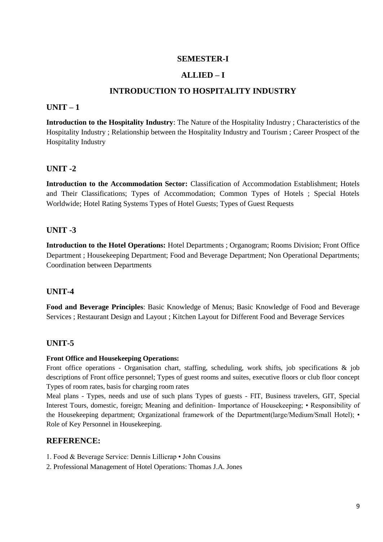## **ALLIED – I**

## **INTRODUCTION TO HOSPITALITY INDUSTRY**

## **UNIT – 1**

**Introduction to the Hospitality Industry**: The Nature of the Hospitality Industry ; Characteristics of the Hospitality Industry ; Relationship between the Hospitality Industry and Tourism ; Career Prospect of the Hospitality Industry

## **UNIT -2**

**Introduction to the Accommodation Sector:** Classification of Accommodation Establishment; Hotels and Their Classifications; Types of Accommodation; Common Types of Hotels ; Special Hotels Worldwide; Hotel Rating Systems Types of Hotel Guests; Types of Guest Requests

## **UNIT -3**

**Introduction to the Hotel Operations:** Hotel Departments ; Organogram; Rooms Division; Front Office Department ; Housekeeping Department; Food and Beverage Department; Non Operational Departments; Coordination between Departments

## **UNIT-4**

**Food and Beverage Principles**: Basic Knowledge of Menus; Basic Knowledge of Food and Beverage Services ; Restaurant Design and Layout ; Kitchen Layout for Different Food and Beverage Services

## **UNIT-5**

#### **Front Office and Housekeeping Operations:**

Front office operations - Organisation chart, staffing, scheduling, work shifts, job specifications & job descriptions of Front office personnel; Types of guest rooms and suites, executive floors or club floor concept Types of room rates, basis for charging room rates

Meal plans - Types, needs and use of such plans Types of guests - FIT, Business travelers, GIT, Special Interest Tours, domestic, foreign; Meaning and definition- Importance of Housekeeping; • Responsibility of the Housekeeping department; Organizational framework of the Department(large/Medium/Small Hotel); • Role of Key Personnel in Housekeeping.

## **REFERENCE:**

1. Food & Beverage Service: Dennis Lillicrap • John Cousins

2. Professional Management of Hotel Operations: Thomas J.A. Jones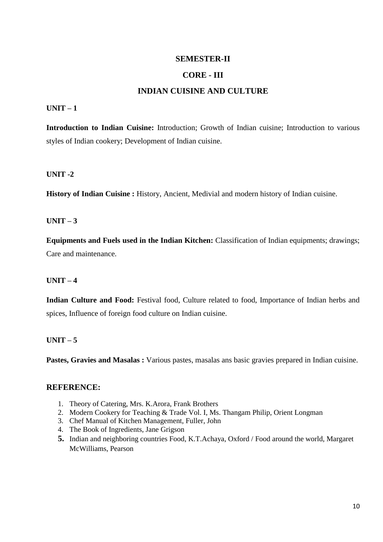## **CORE - III**

## **INDIAN CUISINE AND CULTURE**

### **UNIT – 1**

**Introduction to Indian Cuisine:** Introduction; Growth of Indian cuisine; Introduction to various styles of Indian cookery; Development of Indian cuisine.

## **UNIT -2**

**History of Indian Cuisine :** History, Ancient, Medivial and modern history of Indian cuisine.

## $UNIT - 3$

**Equipments and Fuels used in the Indian Kitchen:** Classification of Indian equipments; drawings; Care and maintenance.

#### **UNIT – 4**

**Indian Culture and Food:** Festival food, Culture related to food, Importance of Indian herbs and spices, Influence of foreign food culture on Indian cuisine.

## **UNIT – 5**

**Pastes, Gravies and Masalas :** Various pastes, masalas ans basic gravies prepared in Indian cuisine.

## **REFERENCE:**

- 1. Theory of Catering, Mrs. K.Arora, Frank Brothers
- 2. Modern Cookery for Teaching & Trade Vol. I, Ms. Thangam Philip, Orient Longman
- 3. Chef Manual of Kitchen Management, Fuller, John
- 4. The Book of Ingredients, Jane Grigson
- **5.** Indian and neighboring countries Food, K.T.Achaya, Oxford / Food around the world, Margaret McWilliams, Pearson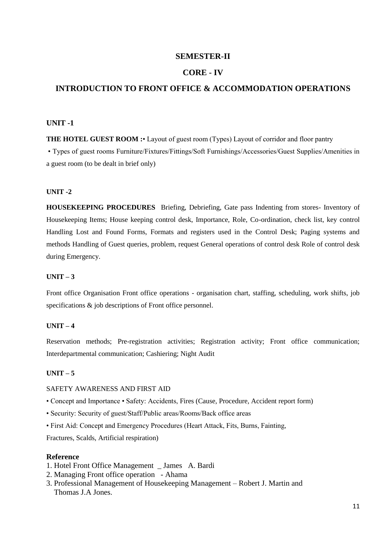#### **CORE - IV**

## **INTRODUCTION TO FRONT OFFICE & ACCOMMODATION OPERATIONS**

#### **UNIT -1**

**THE HOTEL GUEST ROOM :** Layout of guest room (Types) Layout of corridor and floor pantry

• Types of guest rooms Furniture/Fixtures/Fittings/Soft Furnishings/Accessories/Guest Supplies/Amenities in a guest room (to be dealt in brief only)

#### **UNIT -2**

**HOUSEKEEPING PROCEDURES** Briefing, Debriefing, Gate pass Indenting from stores- Inventory of Housekeeping Items; House keeping control desk, Importance, Role, Co-ordination, check list, key control Handling Lost and Found Forms, Formats and registers used in the Control Desk; Paging systems and methods Handling of Guest queries, problem, request General operations of control desk Role of control desk during Emergency.

#### **UNIT – 3**

Front office Organisation Front office operations - organisation chart, staffing, scheduling, work shifts, job specifications  $\&$  job descriptions of Front office personnel.

#### **UNIT – 4**

Reservation methods; Pre-registration activities; Registration activity; Front office communication; Interdepartmental communication; Cashiering; Night Audit

#### **UNIT – 5**

#### SAFETY AWARENESS AND FIRST AID

- Concept and Importance Safety: Accidents, Fires (Cause, Procedure, Accident report form)
- Security: Security of guest/Staff/Public areas/Rooms/Back office areas
- First Aid: Concept and Emergency Procedures (Heart Attack, Fits, Burns, Fainting,

Fractures, Scalds, Artificial respiration)

#### **Reference**

- 1. Hotel Front Office Management \_ James A. Bardi
- 2. Managing Front office operation Ahama
- 3. Professional Management of Housekeeping Management Robert J. Martin and Thomas J.A Jones.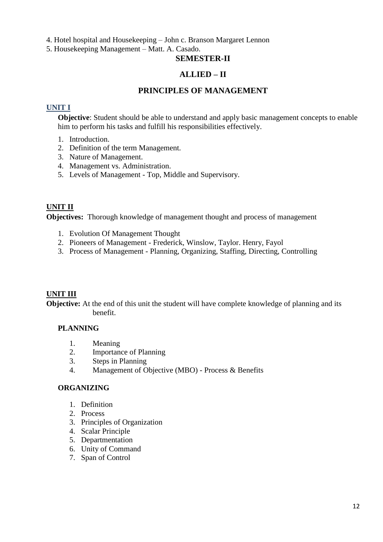4. Hotel hospital and Housekeeping – John c. Branson Margaret Lennon

5. Housekeeping Management – Matt. A. Casado.

## **SEMESTER-II**

## **ALLIED – II**

## **PRINCIPLES OF MANAGEMENT**

## **UNIT I**

**Objective**: Student should be able to understand and apply basic management concepts to enable him to perform his tasks and fulfill his responsibilities effectively.

- 1. Introduction.
- 2. Definition of the term Management.
- 3. Nature of Management.
- 4. Management vs. Administration.
- 5. Levels of Management Top, Middle and Supervisory.

## **UNIT II**

**Objectives:** Thorough knowledge of management thought and process of management

- 1. Evolution Of Management Thought
- 2. Pioneers of Management Frederick, Winslow, Taylor. Henry, Fayol
- 3. Process of Management Planning, Organizing, Staffing, Directing, Controlling

## **UNIT III**

**Objective:** At the end of this unit the student will have complete knowledge of planning and its benefit.

## **PLANNING**

- 1. Meaning
- 2. Importance of Planning
- 3. Steps in Planning
- 4. Management of Objective (MBO) Process & Benefits

#### **ORGANIZING**

- 1. Definition
- 2. Process
- 3. Principles of Organization
- 4. Scalar Principle
- 5. Departmentation
- 6. Unity of Command
- 7. Span of Control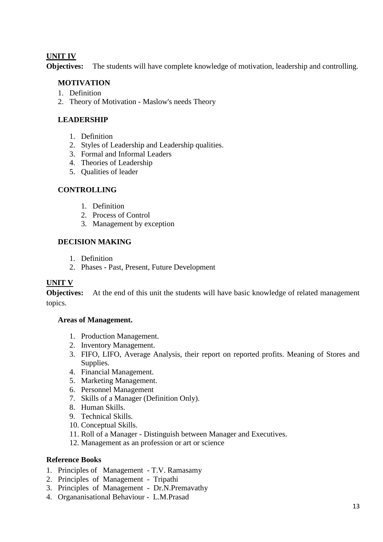## **UNIT IV**

**Objectives:** The students will have complete knowledge of motivation, leadership and controlling.

## **MOTIVATION**

- 1. Definition
- 2. Theory of Motivation Maslow's needs Theory

## **LEADERSHIP**

- 1. Definition
- 2. Styles of Leadership and Leadership qualities.
- 3. Formal and Informal Leaders
- 4. Theories of Leadership
- 5. Qualities of leader

## **CONTROLLING**

- 1. Definition
- 2. Process of Control
- 3. Management by exception

## **DECISION MAKING**

- 1. Definition
- 2. Phases Past, Present, Future Development

#### **UNIT V**

**Objectives:** At the end of this unit the students will have basic knowledge of related management topics.

#### **Areas of Management.**

- 1. Production Management.
- 2. Inventory Management.
- 3. FIFO, LIFO, Average Analysis, their report on reported profits. Meaning of Stores and Supplies.
- 4. Financial Management.
- 5. Marketing Management.
- 6. Personnel Management
- 7. Skills of a Manager (Definition Only).
- 8. Human Skills.
- 9. Technical Skills.
- 10. Conceptual Skills.
- 11. Roll of a Manager Distinguish between Manager and Executives.
- 12. Management as an profession or art or science

#### **Reference Books**

- 1. Principles of Management T.V. Ramasamy
- 2. Principles of Management Tripathi
- 3. Principles of Management Dr.N.Premavathy
- 4. Organanisational Behaviour L.M.Prasad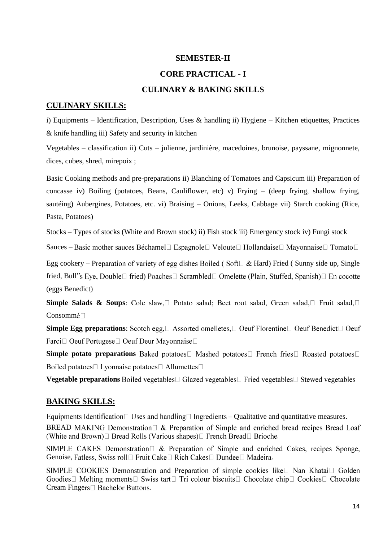## **CORE PRACTICAL - I**

## **CULINARY & BAKING SKILLS**

### **CULINARY SKILLS:**

i) Equipments – Identification, Description, Uses & handling ii) Hygiene – Kitchen etiquettes, Practices & knife handling iii) Safety and security in kitchen

Vegetables – classification ii) Cuts – julienne, jardinière, macedoines, brunoise, payssane, mignonnete, dices, cubes, shred, mirepoix ;

Basic Cooking methods and pre-preparations ii) Blanching of Tomatoes and Capsicum iii) Preparation of concasse iv) Boiling (potatoes, Beans, Cauliflower, etc) v) Frying – (deep frying, shallow frying, sautéing) Aubergines, Potatoes, etc. vi) Braising – Onions, Leeks, Cabbage vii) Starch cooking (Rice, Pasta, Potatoes)

Stocks – Types of stocks (White and Brown stock) ii) Fish stock iii) Emergency stock iv) Fungi stock

Sauces – Basic mother sauces Béchamel□ Espagnole□ Veloute□ Hollandaise□ Mayonnaise□ Tomato□

Egg cookery – Preparation of variety of egg dishes Boiled (Soft $\Box$  & Hard) Fried (Sunny side up, Single fried, Bull"s Eye, Double□ fried) Poaches□ Scrambled□ Omelette (Plain, Stuffed, Spanish)□ En cocotte (eggs Benedict)

**Simple Salads & Soups**: Cole slaw, **Dependence** Salad; Beet root salad, Green salad, Dependence Salad, D Consomm

**Simple Egg preparations:** Scotch egg,  $\Box$  Assorted omelletes,  $\Box$  Oeuf Florentine  $\Box$  Oeuf Benedict  $\Box$  Oeuf Farci□ Oeuf Portugese□ Oeuf Deur Mayonnaise□

**Simple potato preparations** Baked potatoes I Mashed potatoes I French fries I Roasted potatoes I Boiled potatoes □ Lyonnaise potatoes □ Allumettes □

**Vegetable preparations** Boiled vegetables□ Glazed vegetables□ Fried vegetables□ Stewed vegetables

## **BAKING SKILLS:**

Equipments Identification  $\Box$  Uses and handling  $\Box$  Ingredients – Qualitative and quantitative measures.

BREAD MAKING Demonstration  $\Box$  & Preparation of Simple and enriched bread recipes Bread Loaf (White and Brown) $\Box$  Bread Rolls (Various shapes) $\Box$  French Bread  $\Box$  Brioche.

SIMPLE CAKES Demonstration  $\Box \&$  Preparation of Simple and enriched Cakes, recipes Sponge, Genoise, Fatless, Swiss roll□ Fruit Cake□ Rich Cakes□ Dundee□ Madeira.

SIMPLE COOKIES Demonstration and Preparation of simple cookies like□ Nan Khatai□ Golden Goodies  $\Box$  Melting moments  $\Box$  Swiss tart  $\Box$  Tri colour biscuits  $\Box$  Chocolate chip  $\Box$  Cookies  $\Box$  Chocolate Cream Fingers<sup>[1]</sup> Bachelor Buttons.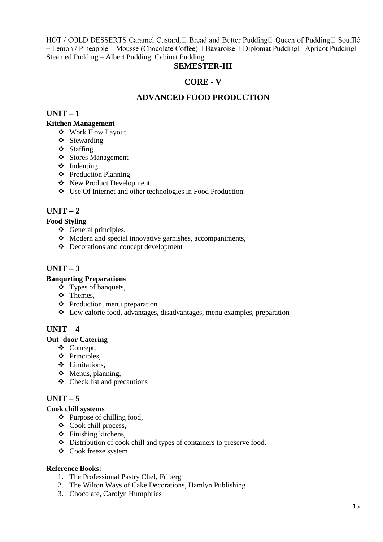HOT / COLD DESSERTS Caramel Custard, □ Bread and Butter Pudding □ Queen of Pudding □ Soufflé - Lemon / Pineapple□ Mousse (Chocolate Coffee)□ Bavaroise□ Diplomat Pudding□ Apricot Pudding□ Steamed Pudding – Albert Pudding, Cabinet Pudding.

## **SEMESTER-III**

## **CORE - V**

## **ADVANCED FOOD PRODUCTION**

## **UNIT – 1**

## **Kitchen Management**

- Work Flow Layout
- ❖ Stewarding
- Staffing
- ❖ Stores Management
- **❖** Indenting
- Production Planning
- New Product Development
- Use Of Internet and other technologies in Food Production.

## **UNIT – 2**

## **Food Styling**

- $\div$  General principles,
- Modern and special innovative garnishes, accompaniments,
- Decorations and concept development

## **UNIT – 3**

## **Banqueting Preparations**

- $\div$  Types of banquets,
- Themes,
- Production, menu preparation
- Low calorie food, advantages, disadvantages, menu examples, preparation

## **UNIT – 4**

#### **Out -door Catering**

- Concept,
- ❖ Principles.
- Limitations,
- $\triangleleft$  Menus, planning,
- $\triangleleft$  Check list and precautions

## $UNIT - 5$

#### **Cook chill systems**

- $\triangle$  Purpose of chilling food,
- Cook chill process,
- $\div$  Finishing kitchens,
- $\bullet$  Distribution of cook chill and types of containers to preserve food.
- Cook freeze system

## **Reference Books:**

- 1. The Professional Pastry Chef, Friberg
- 2. The Wilton Ways of Cake Decorations, Hamlyn Publishing
- 3. Chocolate, Carolyn Humphries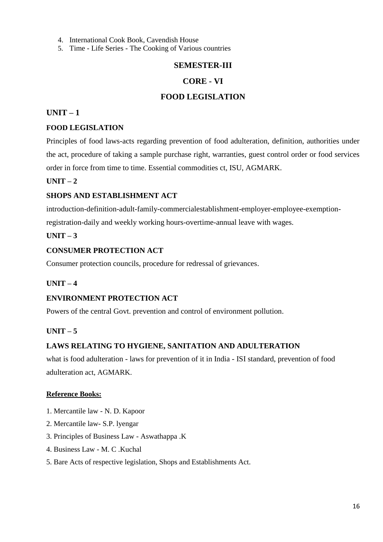- 4. International Cook Book, Cavendish House
- 5. Time Life Series The Cooking of Various countries

## **CORE - VI**

## **FOOD LEGISLATION**

## **UNIT – 1**

## **FOOD LEGISLATION**

Principles of food laws-acts regarding prevention of food adulteration, definition, authorities under the act, procedure of taking a sample purchase right, warranties, guest control order or food services order in force from time to time. Essential commodities ct, ISU, AGMARK.

## $\textbf{I} \cdot \textbf{I} \cdot \textbf{N} \cdot \textbf{I} = 2$

#### **SHOPS AND ESTABLISHMENT ACT**

introduction-definition-adult-family-commercialestablishment-employer-employee-exemption-

registration-daily and weekly working hours-overtime-annual leave with wages.

## $UNIT - 3$

## **CONSUMER PROTECTION ACT**

Consumer protection councils, procedure for redressal of grievances.

#### **UNIT – 4**

#### **ENVIRONMENT PROTECTION ACT**

Powers of the central Govt. prevention and control of environment pollution.

#### **UNIT – 5**

## **LAWS RELATING TO HYGIENE, SANITATION AND ADULTERATION**

what is food adulteration - laws for prevention of it in India - ISI standard, prevention of food adulteration act, AGMARK.

#### **Reference Books:**

- 1. Mercantile law N. D. Kapoor
- 2. Mercantile law- S.P. lyengar
- 3. Principles of Business Law Aswathappa .K
- 4. Business Law M. C .Kuchal
- 5. Bare Acts of respective legislation, Shops and Establishments Act.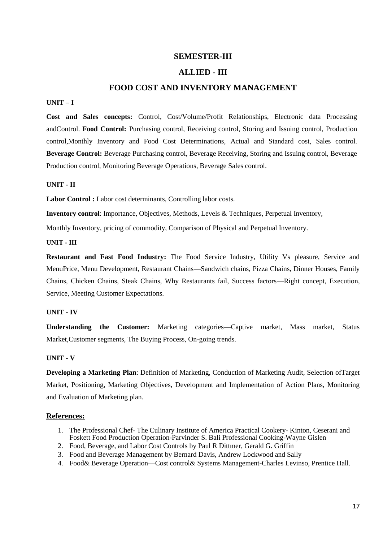#### **ALLIED - III**

### **FOOD COST AND INVENTORY MANAGEMENT**

#### **UNIT – I**

**Cost and Sales concepts:** Control, Cost/Volume/Profit Relationships, Electronic data Processing andControl. **Food Control:** Purchasing control, Receiving control, Storing and Issuing control, Production control,Monthly Inventory and Food Cost Determinations, Actual and Standard cost, Sales control. **Beverage Control:** Beverage Purchasing control, Beverage Receiving, Storing and Issuing control, Beverage Production control, Monitoring Beverage Operations, Beverage Sales control.

#### **UNIT - II**

Labor Control : Labor cost determinants, Controlling labor costs.

**Inventory control**: Importance, Objectives, Methods, Levels & Techniques, Perpetual Inventory,

Monthly Inventory, pricing of commodity, Comparison of Physical and Perpetual Inventory.

#### **UNIT - III**

**Restaurant and Fast Food Industry:** The Food Service Industry, Utility Vs pleasure, Service and MenuPrice, Menu Development, Restaurant Chains—Sandwich chains, Pizza Chains, Dinner Houses, Family Chains, Chicken Chains, Steak Chains, Why Restaurants fail, Success factors—Right concept, Execution, Service, Meeting Customer Expectations.

#### **UNIT - IV**

**Understanding the Customer:** Marketing categories—Captive market, Mass market, Status Market,Customer segments, The Buying Process, On-going trends.

#### **UNIT - V**

**Developing a Marketing Plan**: Definition of Marketing, Conduction of Marketing Audit, Selection ofTarget Market, Positioning, Marketing Objectives, Development and Implementation of Action Plans, Monitoring and Evaluation of Marketing plan.

#### **References:**

- 1. The Professional Chef- The Culinary Institute of America Practical Cookery- Kinton, Ceserani and Foskett Food Production Operation-Parvinder S. Bali Professional Cooking-Wayne Gislen
- 2. Food, Beverage, and Labor Cost Controls by Paul R Dittmer, Gerald G. Griffin
- 3. Food and Beverage Management by Bernard Davis, Andrew Lockwood and Sally
- 4. Food& Beverage Operation—Cost control& Systems Management-Charles Levinso, Prentice Hall.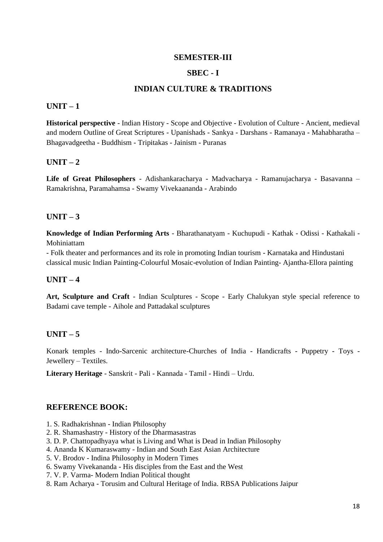## **SBEC - I**

## **INDIAN CULTURE & TRADITIONS**

#### **UNIT – 1**

**Historical perspective** - Indian History - Scope and Objective - Evolution of Culture - Ancient, medieval and modern Outline of Great Scriptures - Upanishads - Sankya - Darshans - Ramanaya - Mahabharatha – Bhagavadgeetha - Buddhism - Tripitakas - Jainism - Puranas

## $\textbf{I} \cdot \textbf{I} \cdot \textbf{N} \cdot \textbf{I} = 2$

**Life of Great Philosophers** - Adishankaracharya - Madvacharya - Ramanujacharya - Basavanna – Ramakrishna, Paramahamsa - Swamy Vivekaananda - Arabindo

## $IINT - 3$

**Knowledge of Indian Performing Arts** - Bharathanatyam - Kuchupudi - Kathak - Odissi - Kathakali - Mohiniattam

- Folk theater and performances and its role in promoting Indian tourism - Karnataka and Hindustani classical music Indian Painting-Colourful Mosaic-evolution of Indian Painting- Ajantha-Ellora painting

## **UNIT – 4**

**Art, Sculpture and Craft** - Indian Sculptures - Scope - Early Chalukyan style special reference to Badami cave temple - Aihole and Pattadakal sculptures

## $UNIT - 5$

Konark temples - Indo-Sarcenic architecture-Churches of India - Handicrafts - Puppetry - Toys - Jewellery – Textiles.

**Literary Heritage** - Sanskrit - Pali - Kannada - Tamil - Hindi – Urdu.

#### **REFERENCE BOOK:**

- 1. S. Radhakrishnan Indian Philosophy
- 2. R. Shamashastry History of the Dharmasastras
- 3. D. P. Chattopadhyaya what is Living and What is Dead in Indian Philosophy
- 4. Ananda K Kumaraswamy Indian and South East Asian Architecture
- 5. V. Brodov Indina Philosophy in Modern Times
- 6. Swamy Vivekananda His disciples from the East and the West
- 7. V. P. Varma- Modern Indian Political thought
- 8. Ram Acharya Torusim and Cultural Heritage of India. RBSA Publications Jaipur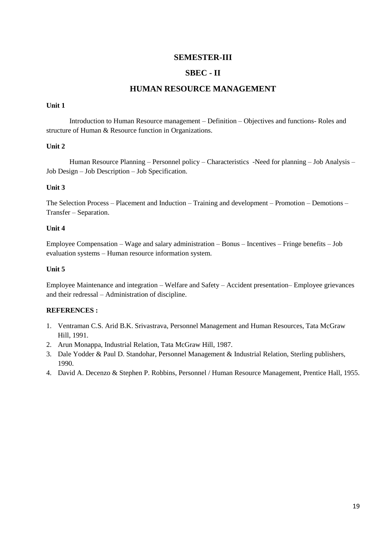## **SBEC - II**

## **HUMAN RESOURCE MANAGEMENT**

#### **Unit 1**

Introduction to Human Resource management – Definition – Objectives and functions- Roles and structure of Human & Resource function in Organizations.

#### **Unit 2**

Human Resource Planning – Personnel policy – Characteristics -Need for planning – Job Analysis – Job Design – Job Description – Job Specification.

#### **Unit 3**

The Selection Process – Placement and Induction – Training and development – Promotion – Demotions – Transfer – Separation.

#### **Unit 4**

Employee Compensation – Wage and salary administration – Bonus – Incentives – Fringe benefits – Job evaluation systems – Human resource information system.

#### **Unit 5**

Employee Maintenance and integration – Welfare and Safety – Accident presentation– Employee grievances and their redressal – Administration of discipline.

#### **REFERENCES :**

- 1. Ventraman C.S. Arid B.K. Srivastrava, Personnel Management and Human Resources, Tata McGraw Hill, 1991.
- 2. Arun Monappa, Industrial Relation, Tata McGraw Hill, 1987.
- 3. Dale Yodder & Paul D. Standohar, Personnel Management & Industrial Relation, Sterling publishers, 1990.
- 4. David A. Decenzo & Stephen P. Robbins, Personnel / Human Resource Management, Prentice Hall, 1955.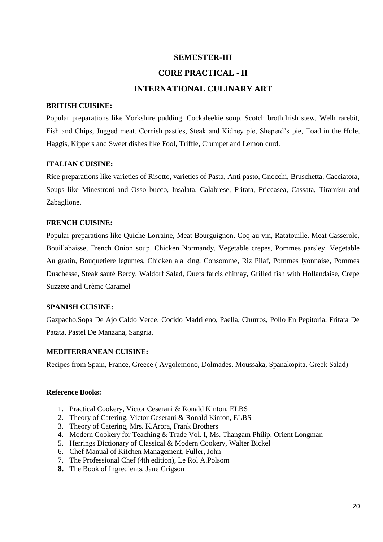### **CORE PRACTICAL - II**

## **INTERNATIONAL CULINARY ART**

#### **BRITISH CUISINE:**

Popular preparations like Yorkshire pudding, Cockaleekie soup, Scotch broth,Irish stew, Welh rarebit, Fish and Chips, Jugged meat, Cornish pasties, Steak and Kidney pie, Sheperd's pie, Toad in the Hole, Haggis, Kippers and Sweet dishes like Fool, Triffle, Crumpet and Lemon curd.

#### **ITALIAN CUISINE:**

Rice preparations like varieties of Risotto, varieties of Pasta, Anti pasto, Gnocchi, Bruschetta, Cacciatora, Soups like Minestroni and Osso bucco, Insalata, Calabrese, Fritata, Friccasea, Cassata, Tiramisu and Zabaglione.

### **FRENCH CUISINE:**

Popular preparations like Quiche Lorraine, Meat Bourguignon, Coq au vin, Ratatouille, Meat Casserole, Bouillabaisse, French Onion soup, Chicken Normandy, Vegetable crepes, Pommes parsley, Vegetable Au gratin, Bouquetiere legumes, Chicken ala king, Consomme, Riz Pilaf, Pommes lyonnaise, Pommes Duschesse, Steak sauté Bercy, Waldorf Salad, Ouefs farcis chimay, Grilled fish with Hollandaise, Crepe Suzzete and Crème Caramel

## **SPANISH CUISINE:**

Gazpacho,Sopa De Ajo Caldo Verde, Cocido Madrileno, Paella, Churros, Pollo En Pepitoria, Fritata De Patata, Pastel De Manzana, Sangria.

#### **MEDITERRANEAN CUISINE:**

Recipes from Spain, France, Greece ( Avgolemono, Dolmades, Moussaka, Spanakopita, Greek Salad)

#### **Reference Books:**

- 1. Practical Cookery, Victor Ceserani & Ronald Kinton, ELBS
- 2. Theory of Catering, Victor Ceserani & Ronald Kinton, ELBS
- 3. Theory of Catering, Mrs. K.Arora, Frank Brothers
- 4. Modern Cookery for Teaching & Trade Vol. I, Ms. Thangam Philip, Orient Longman
- 5. Herrings Dictionary of Classical & Modern Cookery, Walter Bickel
- 6. Chef Manual of Kitchen Management, Fuller, John
- 7. The Professional Chef (4th edition), Le Rol A.Polsom
- **8.** The Book of Ingredients, Jane Grigson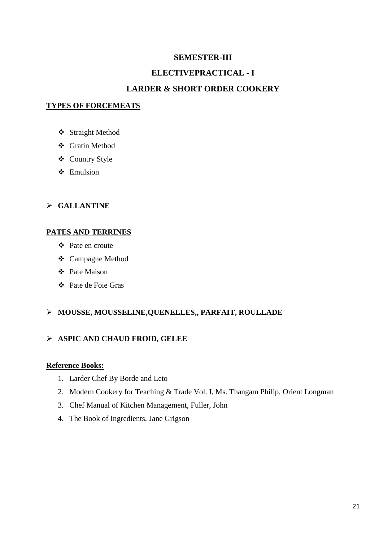## **ELECTIVEPRACTICAL - I**

## **LARDER & SHORT ORDER COOKERY**

## **TYPES OF FORCEMEATS**

- Straight Method
- Gratin Method
- Country Style
- ❖ Emulsion

## **GALLANTINE**

### **PATES AND TERRINES**

- Pate en croute
- Campagne Method
- Pate Maison
- Pate de Foie Gras

## **MOUSSE, MOUSSELINE,QUENELLES,, PARFAIT, ROULLADE**

## **ASPIC AND CHAUD FROID, GELEE**

## **Reference Books:**

- 1. Larder Chef By Borde and Leto
- 2. Modern Cookery for Teaching & Trade Vol. I, Ms. Thangam Philip, Orient Longman
- 3. Chef Manual of Kitchen Management, Fuller, John
- 4. The Book of Ingredients, Jane Grigson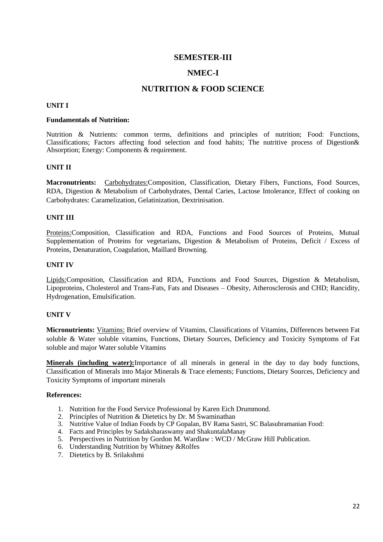## **NMEC-I**

## **NUTRITION & FOOD SCIENCE**

#### **UNIT I**

#### **Fundamentals of Nutrition:**

Nutrition & Nutrients: common terms, definitions and principles of nutrition; Food: Functions, Classifications; Factors affecting food selection and food habits; The nutritive process of Digestion& Absorption; Energy: Components & requirement.

#### **UNIT II**

**Macronutrients:** Carbohydrates:Composition, Classification, Dietary Fibers, Functions, Food Sources, RDA, Digestion & Metabolism of Carbohydrates, Dental Caries, Lactose Intolerance, Effect of cooking on Carbohydrates: Caramelization, Gelatinization, Dextrinisation.

#### **UNIT III**

Proteins:Composition, Classification and RDA, Functions and Food Sources of Proteins, Mutual Supplementation of Proteins for vegetarians, Digestion & Metabolism of Proteins, Deficit / Excess of Proteins, Denaturation, Coagulation, Maillard Browning.

#### **UNIT IV**

Lipids:Composition, Classification and RDA, Functions and Food Sources, Digestion & Metabolism, Lipoproteins, Cholesterol and Trans-Fats, Fats and Diseases – Obesity, Atherosclerosis and CHD; Rancidity, Hydrogenation, Emulsification.

#### **UNIT V**

**Micronutrients:** Vitamins: Brief overview of Vitamins, Classifications of Vitamins, Differences between Fat soluble & Water soluble vitamins, Functions, Dietary Sources, Deficiency and Toxicity Symptoms of Fat soluble and major Water soluble Vitamins

**Minerals (including water):**Importance of all minerals in general in the day to day body functions, Classification of Minerals into Major Minerals & Trace elements; Functions, Dietary Sources, Deficiency and Toxicity Symptoms of important minerals

#### **References:**

- 1. Nutrition for the Food Service Professional by Karen Eich Drummond.
- 2. Principles of Nutrition & Dietetics by Dr. M Swaminathan
- 3. Nutritive Value of Indian Foods by CP Gopalan, BV Rama Sastri, SC Balasubramanian Food:
- 4. Facts and Principles by Sadaksharaswamy and ShakuntalaManay
- 5. Perspectives in Nutrition by Gordon M. Wardlaw : WCD / McGraw Hill Publication.
- 6. Understanding Nutrition by Whitney &Rolfes
- 7. Dietetics by B. Srilakshmi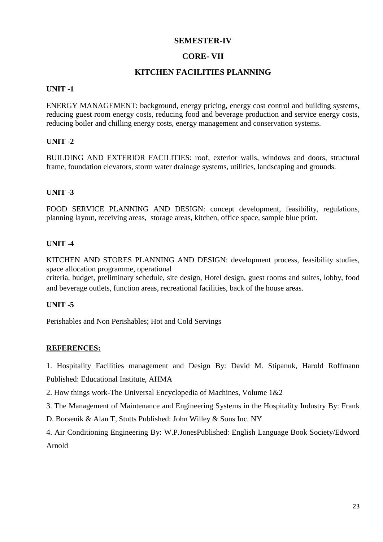## **CORE- VII**

## **KITCHEN FACILITIES PLANNING**

## **UNIT -1**

ENERGY MANAGEMENT: background, energy pricing, energy cost control and building systems, reducing guest room energy costs, reducing food and beverage production and service energy costs, reducing boiler and chilling energy costs, energy management and conservation systems.

## **UNIT -2**

BUILDING AND EXTERIOR FACILITIES: roof, exterior walls, windows and doors, structural frame, foundation elevators, storm water drainage systems, utilities, landscaping and grounds.

## **UNIT -3**

FOOD SERVICE PLANNING AND DESIGN: concept development, feasibility, regulations, planning layout, receiving areas, storage areas, kitchen, office space, sample blue print.

## **UNIT -4**

KITCHEN AND STORES PLANNING AND DESIGN: development process, feasibility studies, space allocation programme, operational

criteria, budget, preliminary schedule, site design, Hotel design, guest rooms and suites, lobby, food and beverage outlets, function areas, recreational facilities, back of the house areas.

## **UNIT -5**

Perishables and Non Perishables; Hot and Cold Servings

#### **REFERENCES:**

1. Hospitality Facilities management and Design By: David M. Stipanuk, Harold Roffmann Published: Educational Institute, AHMA

2. How things work-The Universal Encyclopedia of Machines, Volume 1&2

3. The Management of Maintenance and Engineering Systems in the Hospitality Industry By: Frank

D. Borsenik & Alan T, Stutts Published: John Willey & Sons Inc. NY

4. Air Conditioning Engineering By: W.P.JonesPublished: English Language Book Society/Edword Arnold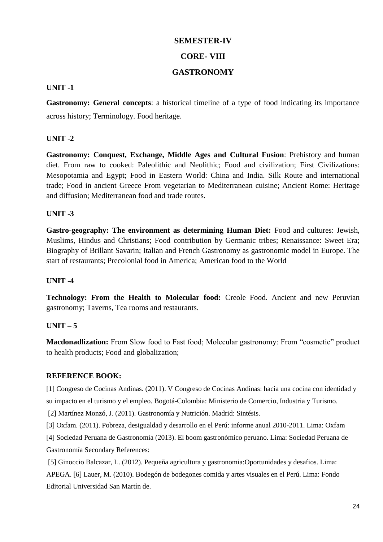## **CORE- VIII**

## **GASTRONOMY**

## **UNIT -1**

**Gastronomy: General concepts**: a historical timeline of a type of food indicating its importance across history; Terminology. Food heritage.

## **UNIT -2**

**Gastronomy: Conquest, Exchange, Middle Ages and Cultural Fusion**: Prehistory and human diet. From raw to cooked: Paleolithic and Neolithic; Food and civilization; First Civilizations: Mesopotamia and Egypt; Food in Eastern World: China and India. Silk Route and international trade; Food in ancient Greece From vegetarian to Mediterranean cuisine; Ancient Rome: Heritage and diffusion; Mediterranean food and trade routes.

## **UNIT -3**

**Gastro-geography: The environment as determining Human Diet:** Food and cultures: Jewish, Muslims, Hindus and Christians; Food contribution by Germanic tribes; Renaissance: Sweet Era; Biography of Brillant Savarin; Italian and French Gastronomy as gastronomic model in Europe. The start of restaurants; Precolonial food in America; American food to the World

## **UNIT -4**

**Technology: From the Health to Molecular food:** Creole Food. Ancient and new Peruvian gastronomy; Taverns, Tea rooms and restaurants.

## **UNIT – 5**

**Macdonadlization:** From Slow food to Fast food; Molecular gastronomy: From "cosmetic" product to health products; Food and globalization;

## **REFERENCE BOOK:**

[1] Congreso de Cocinas Andinas. (2011). V Congreso de Cocinas Andinas: hacia una cocina con identidad y su impacto en el turismo y el empleo. Bogotá-Colombia: Ministerio de Comercio, Industria y Turismo.

[2] Martínez Monzó, J. (2011). Gastronomía y Nutrición. Madrid: Sintésis.

[3] Oxfam. (2011). Pobreza, desigualdad y desarrollo en el Perú: informe anual 2010-2011. Lima: Oxfam

[4] Sociedad Peruana de Gastronomía (2013). El boom gastronómico peruano. Lima: Sociedad Peruana de Gastronomía Secondary References:

[5] Ginoccio Balcazar, L. (2012). Pequeña agricultura y gastronomia:Oportunidades y desafios. Lima: APEGA. [6] Lauer, M. (2010). Bodegón de bodegones comida y artes visuales en el Perú. Lima: Fondo Editorial Universidad San Martín de.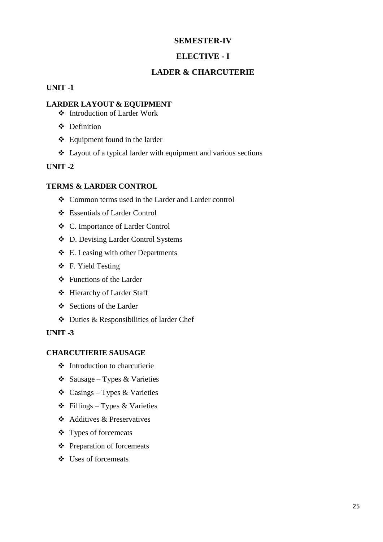## **ELECTIVE - I**

## **LADER & CHARCUTERIE**

#### **UNIT -1**

## **LARDER LAYOUT & EQUIPMENT**

- Introduction of Larder Work
- $\bullet$  Definition
- $\triangleleft$  Equipment found in the larder
- Layout of a typical larder with equipment and various sections

## **UNIT -2**

#### **TERMS & LARDER CONTROL**

- Common terms used in the Larder and Larder control
- Essentials of Larder Control
- C. Importance of Larder Control
- D. Devising Larder Control Systems
- $\div$  E. Leasing with other Departments
- F. Yield Testing
- $\div$  Functions of the Larder
- Hierarchy of Larder Staff
- ❖ Sections of the Larder
- Duties & Responsibilities of larder Chef

#### **UNIT -3**

### **CHARCUTIERIE SAUSAGE**

- $\triangleleft$  Introduction to charcutierie
- $\triangle$  Sausage Types & Varieties
- $\triangle$  Casings Types & Varieties
- $\triangle$  Fillings Types & Varieties
- Additives & Preservatives
- Types of forcemeats
- $\triangle$  Preparation of forcemeats
- Uses of forcemeats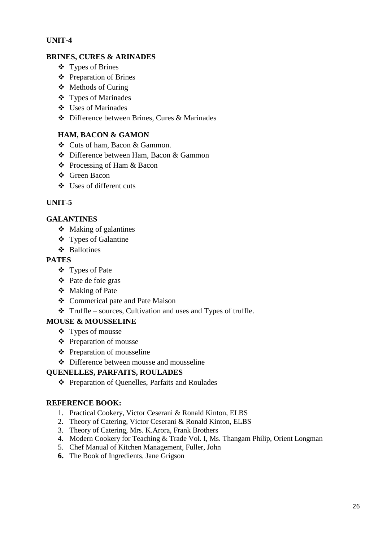## **UNIT-4**

## **BRINES, CURES & ARINADES**

- Types of Brines
- Preparation of Brines
- Methods of Curing
- Types of Marinades
- Uses of Marinades
- Difference between Brines, Cures & Marinades

## **HAM, BACON & GAMON**

- Cuts of ham, Bacon & Gammon.
- Difference between Ham, Bacon & Gammon
- $\triangle$  Processing of Ham & Bacon
- ❖ Green Bacon
- Uses of different cuts

## **UNIT-5**

## **GALANTINES**

- Making of galantines
- Types of Galantine
- Ballotines

## **PATES**

- Types of Pate
- Pate de foie gras
- Making of Pate
- Commerical pate and Pate Maison
- $\triangleleft$  Truffle sources, Cultivation and uses and Types of truffle.

## **MOUSE & MOUSSELINE**

- Types of mousse
- Preparation of mousse
- Preparation of mousseline
- Difference between mousse and mousseline

## **QUENELLES, PARFAITS, ROULADES**

Preparation of Quenelles, Parfaits and Roulades

## **REFERENCE BOOK:**

- 1. Practical Cookery, Victor Ceserani & Ronald Kinton, ELBS
- 2. Theory of Catering, Victor Ceserani & Ronald Kinton, ELBS
- 3. Theory of Catering, Mrs. K.Arora, Frank Brothers
- 4. Modern Cookery for Teaching & Trade Vol. I, Ms. Thangam Philip, Orient Longman
- 5. Chef Manual of Kitchen Management, Fuller, John
- **6.** The Book of Ingredients, Jane Grigson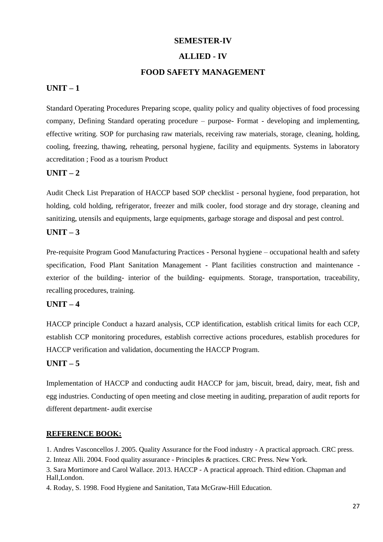## **ALLIED - IV**

### **FOOD SAFETY MANAGEMENT**

## **UNIT – 1**

Standard Operating Procedures Preparing scope, quality policy and quality objectives of food processing company, Defining Standard operating procedure – purpose- Format - developing and implementing, effective writing. SOP for purchasing raw materials, receiving raw materials, storage, cleaning, holding, cooling, freezing, thawing, reheating, personal hygiene, facility and equipments. Systems in laboratory accreditation ; Food as a tourism Product

## **UNIT – 2**

Audit Check List Preparation of HACCP based SOP checklist - personal hygiene, food preparation, hot holding, cold holding, refrigerator, freezer and milk cooler, food storage and dry storage, cleaning and sanitizing, utensils and equipments, large equipments, garbage storage and disposal and pest control.

## **UNIT – 3**

Pre-requisite Program Good Manufacturing Practices - Personal hygiene – occupational health and safety specification, Food Plant Sanitation Management - Plant facilities construction and maintenance exterior of the building- interior of the building- equipments. Storage, transportation, traceability, recalling procedures, training.

## **UNIT – 4**

HACCP principle Conduct a hazard analysis, CCP identification, establish critical limits for each CCP, establish CCP monitoring procedures, establish corrective actions procedures, establish procedures for HACCP verification and validation, documenting the HACCP Program.

### **UNIT – 5**

Implementation of HACCP and conducting audit HACCP for jam, biscuit, bread, dairy, meat, fish and egg industries. Conducting of open meeting and close meeting in auditing, preparation of audit reports for different department- audit exercise

#### **REFERENCE BOOK:**

1. Andres Vasconcellos J. 2005. Quality Assurance for the Food industry - A practical approach. CRC press.

2. Inteaz Alli. 2004. Food quality assurance - Principles & practices. CRC Press. New York.

3. Sara Mortimore and Carol Wallace. 2013. HACCP - A practical approach. Third edition. Chapman and Hall,London.

4. Roday, S. 1998. Food Hygiene and Sanitation, Tata McGraw-Hill Education.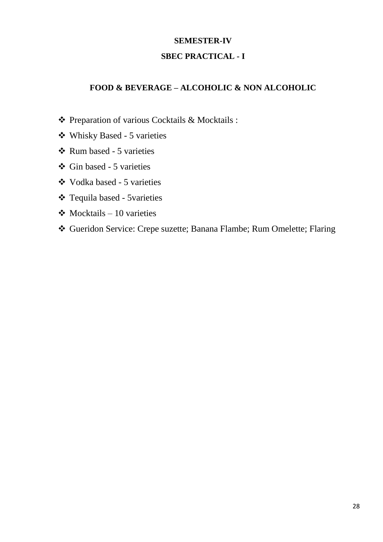## **SBEC PRACTICAL - I**

## **FOOD & BEVERAGE – ALCOHOLIC & NON ALCOHOLIC**

- Preparation of various Cocktails & Mocktails :
- Whisky Based 5 varieties
- $\triangle$  Rum based 5 varieties
- Gin based 5 varieties
- Vodka based 5 varieties
- Tequila based 5varieties
- $\triangleleft$  Mocktails 10 varieties
- Gueridon Service: Crepe suzette; Banana Flambe; Rum Omelette; Flaring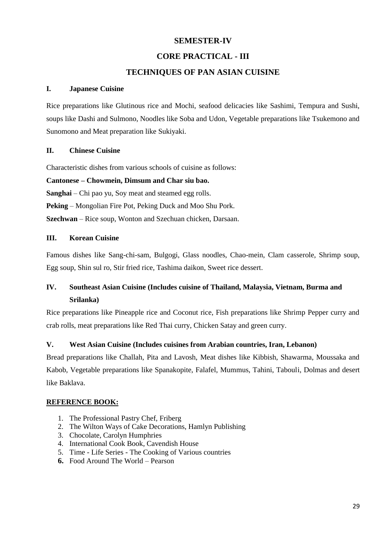## **CORE PRACTICAL - III**

## **TECHNIQUES OF PAN ASIAN CUISINE**

### **I. Japanese Cuisine**

Rice preparations like Glutinous rice and Mochi, seafood delicacies like Sashimi, Tempura and Sushi, soups like Dashi and Sulmono, Noodles like Soba and Udon, Vegetable preparations like Tsukemono and Sunomono and Meat preparation like Sukiyaki.

## **II. Chinese Cuisine**

Characteristic dishes from various schools of cuisine as follows:

#### **Cantonese – Chowmein, Dimsum and Char siu bao.**

**Sanghai** – Chi pao yu, Soy meat and steamed egg rolls.

**Peking** – Mongolian Fire Pot, Peking Duck and Moo Shu Pork.

**Szechwan** – Rice soup, Wonton and Szechuan chicken, Darsaan.

## **III. Korean Cuisine**

Famous dishes like Sang-chi-sam, Bulgogi, Glass noodles, Chao-mein, Clam casserole, Shrimp soup, Egg soup, Shin sul ro, Stir fried rice, Tashima daikon, Sweet rice dessert.

## **IV. Southeast Asian Cuisine (Includes cuisine of Thailand, Malaysia, Vietnam, Burma and Srilanka)**

Rice preparations like Pineapple rice and Coconut rice, Fish preparations like Shrimp Pepper curry and crab rolls, meat preparations like Red Thai curry, Chicken Satay and green curry.

## **V. West Asian Cuisine (Includes cuisines from Arabian countries, Iran, Lebanon)**

Bread preparations like Challah, Pita and Lavosh, Meat dishes like Kibbish, Shawarma, Moussaka and Kabob, Vegetable preparations like Spanakopite, Falafel, Mummus, Tahini, Tabouli, Dolmas and desert like Baklava.

#### **REFERENCE BOOK:**

- 1. The Professional Pastry Chef, Friberg
- 2. The Wilton Ways of Cake Decorations, Hamlyn Publishing
- 3. Chocolate, Carolyn Humphries
- 4. International Cook Book, Cavendish House
- 5. Time Life Series The Cooking of Various countries
- **6.** Food Around The World Pearson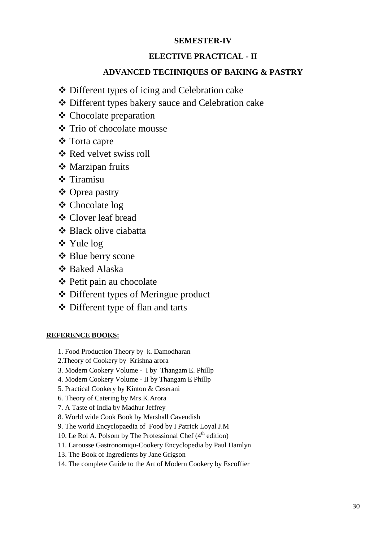## **ELECTIVE PRACTICAL - II**

## **ADVANCED TECHNIQUES OF BAKING & PASTRY**

- Different types of icing and Celebration cake
- Different types bakery sauce and Celebration cake
- Chocolate preparation
- **❖** Trio of chocolate mousse
- Torta capre
- **❖ Red velvet swiss roll**
- **❖** Marzipan fruits
- **❖** Tiramisu
- Oprea pastry
- Chocolate log
- Clover leaf bread
- **❖ Black olive ciabatta**
- Yule log
- ❖ Blue berry scone
- Baked Alaska
- **❖** Petit pain au chocolate
- Different types of Meringue product
- Different type of flan and tarts

## **REFERENCE BOOKS:**

- 1. Food Production Theory by k. Damodharan
- 2.Theory of Cookery by Krishna arora
- 3. Modern Cookery Volume I by Thangam E. Phillp
- 4. Modern Cookery Volume II by Thangam E Phillp
- 5. Practical Cookery by Kinton & Ceserani
- 6. Theory of Catering by Mrs.K.Arora
- 7. A Taste of India by Madhur Jeffrey
- 8. World wide Cook Book by Marshall Cavendish
- 9. The world Encyclopaedia of Food by I Patrick Loyal J.M
- 10. Le Rol A. Polsom by The Professional Chef  $(4<sup>th</sup>$  edition)
- 11. Larousse Gastronomiqu-Cookery Encyclopedia by Paul Hamlyn
- 13. The Book of Ingredients by Jane Grigson
- 14. The complete Guide to the Art of Modern Cookery by Escoffier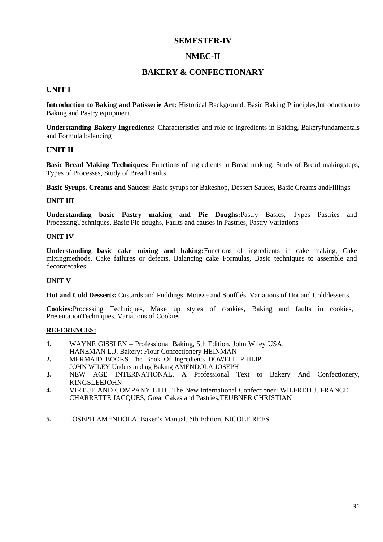## **NMEC-II**

## **BAKERY & CONFECTIONARY**

#### **UNIT I**

**Introduction to Baking and Patisserie Art:** Historical Background, Basic Baking Principles,Introduction to Baking and Pastry equipment.

**Understanding Bakery Ingredients:** Characteristics and role of ingredients in Baking, Bakeryfundamentals and Formula balancing

#### **UNIT II**

**Basic Bread Making Techniques:** Functions of ingredients in Bread making, Study of Bread makingsteps, Types of Processes, Study of Bread Faults

**Basic Syrups, Creams and Sauces:** Basic syrups for Bakeshop, Dessert Sauces, Basic Creams andFillings

#### **UNIT III**

**Understanding basic Pastry making and Pie Doughs:**Pastry Basics, Types Pastries and ProcessingTechniques, Basic Pie doughs, Faults and causes in Pastries, Pastry Variations

#### **UNIT IV**

**Understanding basic cake mixing and baking:**Functions of ingredients in cake making, Cake mixingmethods, Cake failures or defects, Balancing cake Formulas, Basic techniques to assemble and decoratecakes.

#### **UNIT V**

**Hot and Cold Desserts:** Custards and Puddings, Mousse and Soufflés, Variations of Hot and Colddesserts.

**Cookies:**Processing Techniques, Make up styles of cookies, Baking and faults in cookies, PresentationTechniques, Variations of Cookies.

#### **REFERENCES:**

- **1.** WAYNE GISSLEN Professional Baking, 5th Edition, John Wiley USA. HANEMAN L.J. Bakery: Flour Confectionery HEINMAN
- **2.** MERMAID BOOKS The Book Of Ingredients DOWELL PHILIP
- JOHN WILEY Understanding Baking AMENDOLA JOSEPH
- **3.** NEW AGE INTERNATIONAL, A Professional Text to Bakery And Confectionery, KINGSLEEJOHN
- **4.** VIRTUE AND COMPANY LTD., The New International Confectioner: WILFRED J. FRANCE CHARRETTE JACQUES, Great Cakes and Pastries,TEUBNER CHRISTIAN
- **5.** JOSEPH AMENDOLA ,Baker's Manual, 5th Edition, NICOLE REES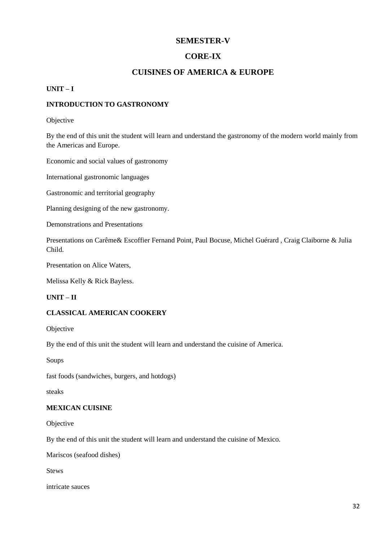## **CORE-IX**

## **CUISINES OF AMERICA & EUROPE**

#### **UNIT – I**

#### **INTRODUCTION TO GASTRONOMY**

#### Objective

By the end of this unit the student will learn and understand the gastronomy of the modern world mainly from the Americas and Europe.

Economic and social values of gastronomy

International gastronomic languages

Gastronomic and territorial geography

Planning designing of the new gastronomy.

Demonstrations and Presentations

Presentations on Carême& Escoffier Fernand Point, Paul Bocuse, Michel Guérard , Craig Claiborne & Julia Child.

Presentation on Alice Waters,

Melissa Kelly & Rick Bayless.

#### **UNIT – II**

#### **CLASSICAL AMERICAN COOKERY**

Objective

By the end of this unit the student will learn and understand the cuisine of America.

Soups

fast foods (sandwiches, burgers, and hotdogs)

steaks

#### **MEXICAN CUISINE**

Objective

By the end of this unit the student will learn and understand the cuisine of Mexico.

Mariscos (seafood dishes)

Stews

intricate sauces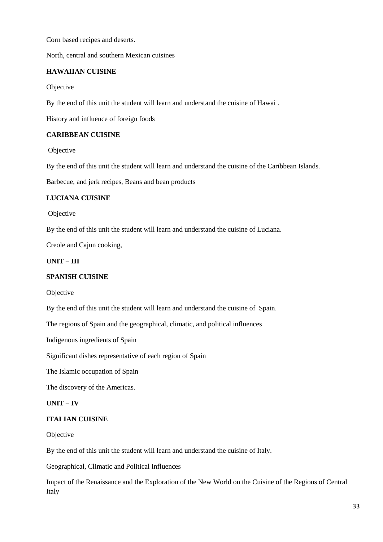Corn based recipes and deserts.

North, central and southern Mexican cuisines

#### **HAWAIIAN CUISINE**

Objective

By the end of this unit the student will learn and understand the cuisine of Hawai .

History and influence of foreign foods

#### **CARIBBEAN CUISINE**

Objective

By the end of this unit the student will learn and understand the cuisine of the Caribbean Islands.

Barbecue, and jerk recipes, Beans and bean products

#### **LUCIANA CUISINE**

Objective

By the end of this unit the student will learn and understand the cuisine of Luciana.

Creole and Cajun cooking,

**UNIT – III**

#### **SPANISH CUISINE**

Objective

By the end of this unit the student will learn and understand the cuisine of Spain.

The regions of Spain and the geographical, climatic, and political influences

Indigenous ingredients of Spain

Significant dishes representative of each region of Spain

The Islamic occupation of Spain

The discovery of the Americas.

#### **UNIT – IV**

#### **ITALIAN CUISINE**

Objective

By the end of this unit the student will learn and understand the cuisine of Italy.

Geographical, Climatic and Political Influences

Impact of the Renaissance and the Exploration of the New World on the Cuisine of the Regions of Central Italy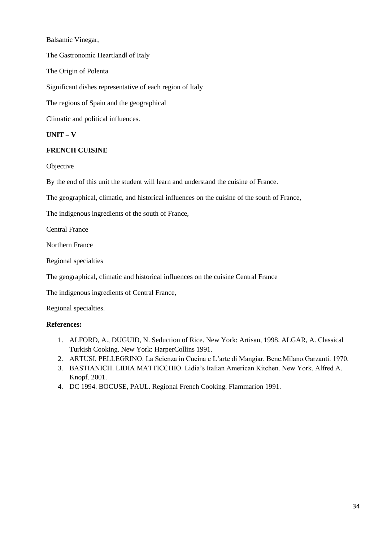Balsamic Vinegar, The Gastronomic Heartland‖ of Italy The Origin of Polenta Significant dishes representative of each region of Italy The regions of Spain and the geographical Climatic and political influences.

**UNIT – V**

#### **FRENCH CUISINE**

**Objective** 

By the end of this unit the student will learn and understand the cuisine of France.

The geographical, climatic, and historical influences on the cuisine of the south of France,

The indigenous ingredients of the south of France,

Central France

Northern France

Regional specialties

The geographical, climatic and historical influences on the cuisine Central France

The indigenous ingredients of Central France,

Regional specialties.

#### **References:**

- 1. ALFORD, A., DUGUID, N. Seduction of Rice. New York: Artisan, 1998. ALGAR, A. Classical Turkish Cooking. New York: HarperCollins 1991.
- 2. ARTUSI, PELLEGRINO. La Scienza in Cucina e L'arte di Mangiar. Bene.Milano.Garzanti. 1970.
- 3. BASTIANICH. LIDIA MATTICCHIO. Lidia's Italian American Kitchen. New York. Alfred A. Knopf. 2001.
- 4. DC 1994. BOCUSE, PAUL. Regional French Cooking. Flammarion 1991.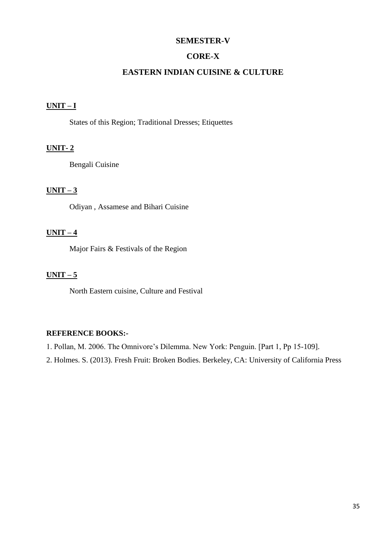## **CORE-X**

## **EASTERN INDIAN CUISINE & CULTURE**

## **UNIT – I**

States of this Region; Traditional Dresses; Etiquettes

## **UNIT- 2**

Bengali Cuisine

## $UNIT-3$

Odiyan , Assamese and Bihari Cuisine

## **UNIT – 4**

Major Fairs & Festivals of the Region

## $UNIT - 5$

North Eastern cuisine, Culture and Festival

#### **REFERENCE BOOKS:-**

1. Pollan, M. 2006. The Omnivore's Dilemma. New York: Penguin. [Part 1, Pp 15-109].

2. Holmes. S. (2013). Fresh Fruit: Broken Bodies. Berkeley, CA: University of California Press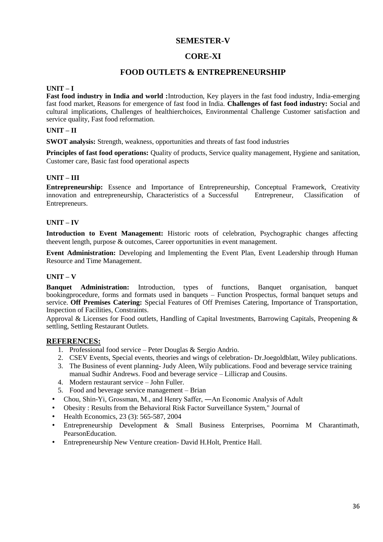## **CORE-XI**

## **FOOD OUTLETS & ENTREPRENEURSHIP**

#### **UNIT – I**

**Fast food industry in India and world :**Introduction, Key players in the fast food industry, India-emerging fast food market, Reasons for emergence of fast food in India. **Challenges of fast food industry:** Social and cultural implications, Challenges of healthierchoices, Environmental Challenge Customer satisfaction and service quality, Fast food reformation.

#### **UNIT – II**

**SWOT analysis:** Strength, weakness, opportunities and threats of fast food industries

**Principles of fast food operations:** Quality of products, Service quality management, Hygiene and sanitation, Customer care, Basic fast food operational aspects

#### **UNIT – III**

**Entrepreneurship:** Essence and Importance of Entrepreneurship, Conceptual Framework, Creativity innovation and entrepreneurship, Characteristics of a Successful Entrepreneur, Classification of Entrepreneurs.

#### **UNIT – IV**

**Introduction to Event Management:** Historic roots of celebration, Psychographic changes affecting theevent length, purpose & outcomes, Career opportunities in event management.

**Event Administration:** Developing and Implementing the Event Plan, Event Leadership through Human Resource and Time Management.

#### **UNIT – V**

**Banquet Administration:** Introduction, types of functions, Banquet organisation, banquet bookingprocedure, forms and formats used in banquets – Function Prospectus, formal banquet setups and service. **Off Premises Catering:** Special Features of Off Premises Catering, Importance of Transportation, Inspection of Facilities, Constraints.

Approval & Licenses for Food outlets, Handling of Capital Investments, Barrowing Capitals, Preopening & settling, Settling Restaurant Outlets.

#### **REFERENCES:**

- 1. Professional food service Peter Douglas & Sergio Andrio.
- 2. CSEV Events, Special events, theories and wings of celebration- Dr.Joegoldblatt, Wiley publications.
- 3. The Business of event planning- Judy Aleen, Wily publications. Food and beverage service training manual Sudhir Andrews. Food and beverage service – Lillicrap and Cousins.
- 4. Modern restaurant service John Fuller.
- 5. Food and beverage service management Brian
- Chou, Shin-Yi, Grossman, M., and Henry Saffer, ―An Economic Analysis of Adult
- Obesity : Results from the Behavioral Risk Factor Surveillance System," Journal of
- Health Economics, 23 (3): 565-587, 2004
- Entrepreneurship Development & Small Business Enterprises, Poornima M Charantimath, PearsonEducation.
- Entrepreneurship New Venture creation- David H.Holt, Prentice Hall.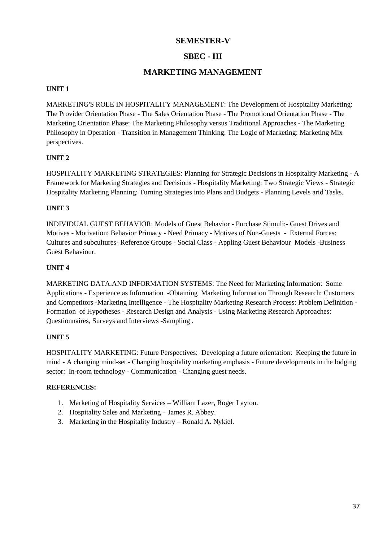## **SBEC - III**

## **MARKETING MANAGEMENT**

#### **UNIT 1**

MARKETING'S ROLE IN HOSPITALITY MANAGEMENT: The Development of Hospitality Marketing: The Provider Orientation Phase - The Sales Orientation Phase - The Promotional Orientation Phase - The Marketing Orientation Phase: The Marketing Philosophy versus Traditional Approaches - The Marketing Philosophy in Operation - Transition in Management Thinking. The Logic of Marketing: Marketing Mix perspectives.

## **UNIT 2**

HOSPITALITY MARKETING STRATEGIES: Planning for Strategic Decisions in Hospitality Marketing - A Framework for Marketing Strategies and Decisions - Hospitality Marketing: Two Strategic Views - Strategic Hospitality Marketing Planning: Turning Strategies into Plans and Budgets - Planning Levels arid Tasks.

#### **UNIT 3**

INDIVIDUAL GUEST BEHAVIOR: Models of Guest Behavior - Purchase Stimuli:- Guest Drives and Motives - Motivation: Behavior Primacy - Need Primacy - Motives of Non-Guests - External Forces: Cultures and subcultures- Reference Groups - Social Class - Appling Guest Behaviour Models -Business Guest Behaviour.

#### **UNIT 4**

MARKETING DATA.AND INFORMATION SYSTEMS: The Need for Marketing Information: Some Applications - Experience as Information -Obtaining Marketing Information Through Research: Customers and Competitors -Marketing Intelligence - The Hospitality Marketing Research Process: Problem Definition - Formation of Hypotheses - Research Design and Analysis - Using Marketing Research Approaches: Questionnaires, Surveys and Interviews -Sampling .

#### **UNIT 5**

HOSPITALITY MARKETING: Future Perspectives: Developing a future orientation: Keeping the future in mind - A changing mind-set - Changing hospitality marketing emphasis - Future developments in the lodging sector: In-room technology - Communication - Changing guest needs.

#### **REFERENCES:**

- 1. Marketing of Hospitality Services William Lazer, Roger Layton.
- 2. Hospitality Sales and Marketing James R. Abbey.
- 3. Marketing in the Hospitality Industry Ronald A. Nykiel.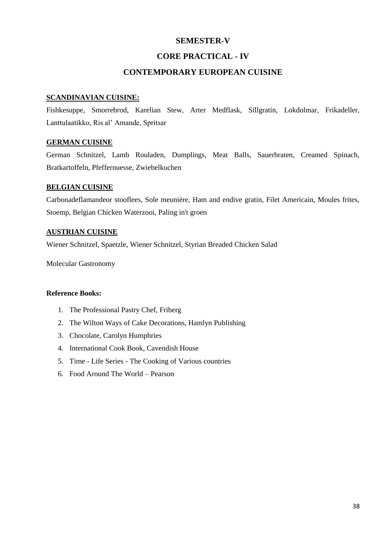## **CORE PRACTICAL - IV**

## **CONTEMPORARY EUROPEAN CUISINE**

#### **SCANDINAVIAN CUISINE:**

Fishkesuppe, Smorrebrod, Karelian Stew, Arter Medflask, Sillgratin, Lokdolmar, Frikadeller, Lanttulaatikko, Ris al' Amande, Spritsar

## **GERMAN CUISINE**

German Schnitzel, Lamb Rouladen, Dumplings, Meat Balls, Sauerbraten, Creamed Spinach, Bratkartoffeln, Pfeffernuesse, Zwiebelkuchen

## **BELGIAN CUISINE**

Carbonadeflamandeor stooflees, Sole meunière, Ham and endive gratin, Filet Americain, Moules frites, Stoemp, Belgian Chicken Waterzooi, Paling in't groen

#### **AUSTRIAN CUISINE**

Wiener Schnitzel, Spaetzle, Wiener Schnitzel, Styrian Breaded Chicken Salad

Molecular Gastronomy

### **Reference Books:**

- 1. The Professional Pastry Chef, Friberg
- 2. The Wilton Ways of Cake Decorations, Hamlyn Publishing
- 3. Chocolate, Carolyn Humphries
- 4. International Cook Book, Cavendish House
- 5. Time Life Series The Cooking of Various countries
- 6. Food Around The World Pearson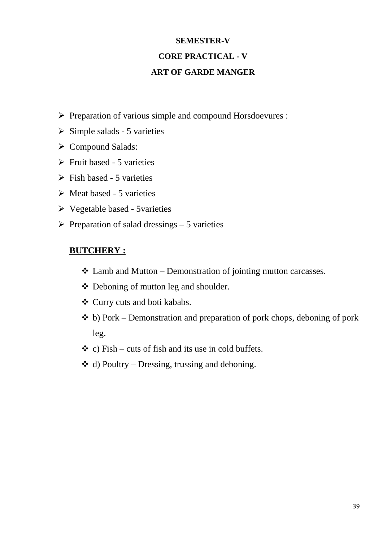# **SEMESTER-V CORE PRACTICAL - V ART OF GARDE MANGER**

- $\triangleright$  Preparation of various simple and compound Horsdoevures :
- $\triangleright$  Simple salads 5 varieties
- ▶ Compound Salads:
- $\triangleright$  Fruit based 5 varieties
- $\triangleright$  Fish based 5 varieties
- $\triangleright$  Meat based 5 varieties
- Vegetable based 5varieties
- $\triangleright$  Preparation of salad dressings 5 varieties

## **BUTCHERY :**

- $\triangle$  Lamb and Mutton Demonstration of jointing mutton carcasses.
- Deboning of mutton leg and shoulder.
- Curry cuts and boti kababs.
- $\triangle$  b) Pork Demonstration and preparation of pork chops, deboning of pork leg.
- $\div$  c) Fish cuts of fish and its use in cold buffets.
- $\triangleq$  d) Poultry Dressing, trussing and deboning.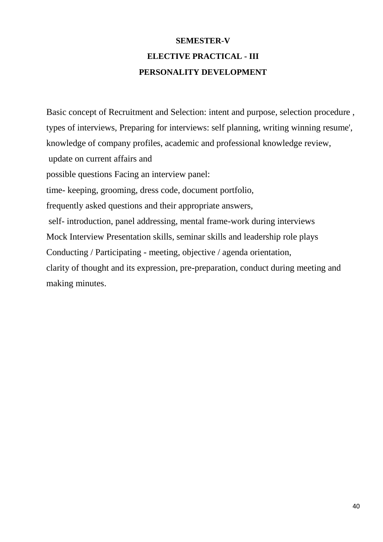# **SEMESTER-V ELECTIVE PRACTICAL - III PERSONALITY DEVELOPMENT**

Basic concept of Recruitment and Selection: intent and purpose, selection procedure , types of interviews, Preparing for interviews: self planning, writing winning resume', knowledge of company profiles, academic and professional knowledge review, update on current affairs and possible questions Facing an interview panel: time- keeping, grooming, dress code, document portfolio, frequently asked questions and their appropriate answers, self- introduction, panel addressing, mental frame-work during interviews Mock Interview Presentation skills, seminar skills and leadership role plays Conducting / Participating - meeting, objective / agenda orientation, clarity of thought and its expression, pre-preparation, conduct during meeting and making minutes.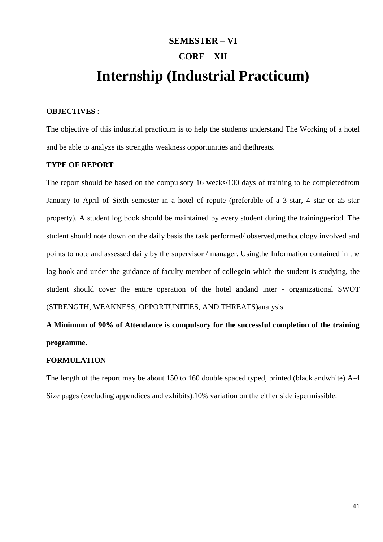# **SEMESTER – VI CORE – XII Internship (Industrial Practicum)**

## **OBJECTIVES** :

The objective of this industrial practicum is to help the students understand The Working of a hotel and be able to analyze its strengths weakness opportunities and thethreats.

#### **TYPE OF REPORT**

The report should be based on the compulsory 16 weeks/100 days of training to be completedfrom January to April of Sixth semester in a hotel of repute (preferable of a 3 star, 4 star or a5 star property). A student log book should be maintained by every student during the trainingperiod. The student should note down on the daily basis the task performed/ observed,methodology involved and points to note and assessed daily by the supervisor / manager. Usingthe Information contained in the log book and under the guidance of faculty member of collegein which the student is studying, the student should cover the entire operation of the hotel andand inter - organizational SWOT (STRENGTH, WEAKNESS, OPPORTUNITIES, AND THREATS)analysis.

**A Minimum of 90% of Attendance is compulsory for the successful completion of the training programme.**

#### **FORMULATION**

The length of the report may be about 150 to 160 double spaced typed, printed (black andwhite) A-4 Size pages (excluding appendices and exhibits).10% variation on the either side ispermissible.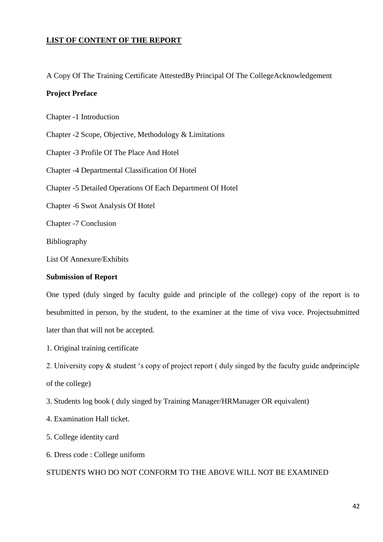## **LIST OF CONTENT OF THE REPORT**

A Copy Of The Training Certificate AttestedBy Principal Of The CollegeAcknowledgement

## **Project Preface**

Chapter -1 Introduction

Chapter -2 Scope, Objective, Methodology & Limitations

Chapter -3 Profile Of The Place And Hotel

Chapter -4 Departmental Classification Of Hotel

Chapter -5 Detailed Operations Of Each Department Of Hotel

Chapter -6 Swot Analysis Of Hotel

Chapter -7 Conclusion

Bibliography

List Of Annexure/Exhibits

#### **Submission of Report**

One typed (duly singed by faculty guide and principle of the college) copy of the report is to besubmitted in person, by the student, to the examiner at the time of viva voce. Projectsubmitted later than that will not be accepted.

1. Original training certificate

2. University copy  $\&$  student 's copy of project report ( duly singed by the faculty guide and principle

of the college)

3. Students log book ( duly singed by Training Manager/HRManager OR equivalent)

4. Examination Hall ticket.

5. College identity card

6. Dress code : College uniform

#### STUDENTS WHO DO NOT CONFORM TO THE ABOVE WILL NOT BE EXAMINED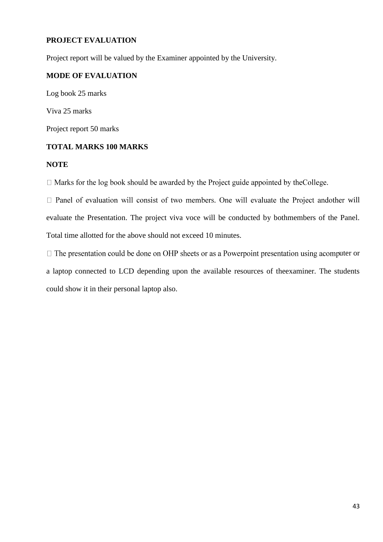## **PROJECT EVALUATION**

Project report will be valued by the Examiner appointed by the University.

## **MODE OF EVALUATION**

Log book 25 marks Viva 25 marks Project report 50 marks

## **TOTAL MARKS 100 MARKS**

## **NOTE**

 $\Box$  Marks for the log book should be awarded by the Project guide appointed by the College.

 $\Box$  Panel of evaluation will consist of two members. One will evaluate the Project andother will evaluate the Presentation. The project viva voce will be conducted by bothmembers of the Panel. Total time allotted for the above should not exceed 10 minutes.

 $\Box$  The presentation could be done on OHP sheets or as a Powerpoint presentation using a computer or a laptop connected to LCD depending upon the available resources of theexaminer. The students could show it in their personal laptop also.